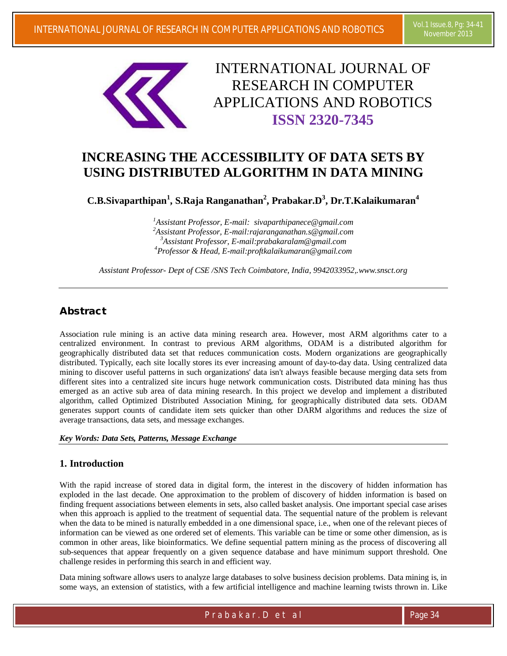

INTERNATIONAL JOURNAL OF RESEARCH IN COMPUTER APPLICATIONS AND ROBOTICS **ISSN 2320-7345**

# **INCREASING THE ACCESSIBILITY OF DATA SETS BY USING DISTRIBUTED ALGORITHM IN DATA MINING**

**C.B.Sivaparthipan<sup>1</sup> , S.Raja Ranganathan<sup>2</sup> , Prabakar.D<sup>3</sup> , Dr.T.Kalaikumaran<sup>4</sup>**

*Assistant Professor, E-mail: sivaparthipanece@gmail.com Assistant Professor, E-mail:rajaranganathan.s@gmail.com Assistant Professor, E-mail:prabakaralam@gmail.com Professor & Head, E-mail:proftkalaikumaran@gmail.com*

*Assistant Professor- Dept of CSE /SNS Tech Coimbatore, India, 9942033952,.www.snsct.org*

# **Abstract**

Association rule mining is an active data mining research area. However, most ARM algorithms cater to a centralized environment. In contrast to previous ARM algorithms, ODAM is a distributed algorithm for geographically distributed data set that reduces communication costs. Modern organizations are geographically distributed. Typically, each site locally stores its ever increasing amount of day-to-day data. Using centralized data mining to discover useful patterns in such organizations' data isn't always feasible because merging data sets from different sites into a centralized site incurs huge network communication costs. Distributed data mining has thus emerged as an active sub area of data mining research. In this project we develop and implement a distributed algorithm, called Optimized Distributed Association Mining, for geographically distributed data sets. ODAM generates support counts of candidate item sets quicker than other DARM algorithms and reduces the size of average transactions, data sets, and message exchanges.

#### *Key Words: Data Sets, Patterns, Message Exchange*

## **1. Introduction**

With the rapid increase of stored data in digital form, the interest in the discovery of hidden information has exploded in the last decade. One approximation to the problem of discovery of hidden information is based on finding frequent associations between elements in sets, also called basket analysis. One important special case arises when this approach is applied to the treatment of sequential data. The sequential nature of the problem is relevant when the data to be mined is naturally embedded in a one dimensional space, i.e., when one of the relevant pieces of information can be viewed as one ordered set of elements. This variable can be time or some other dimension, as is common in other areas, like bioinformatics. We define sequential pattern mining as the process of discovering all sub-sequences that appear frequently on a given sequence database and have minimum support threshold. One challenge resides in performing this search in and efficient way.

Data mining software allows users to analyze large databases to solve business decision problems. Data mining is, in some ways, an extension of statistics, with a few artificial intelligence and machine learning twists thrown in. Like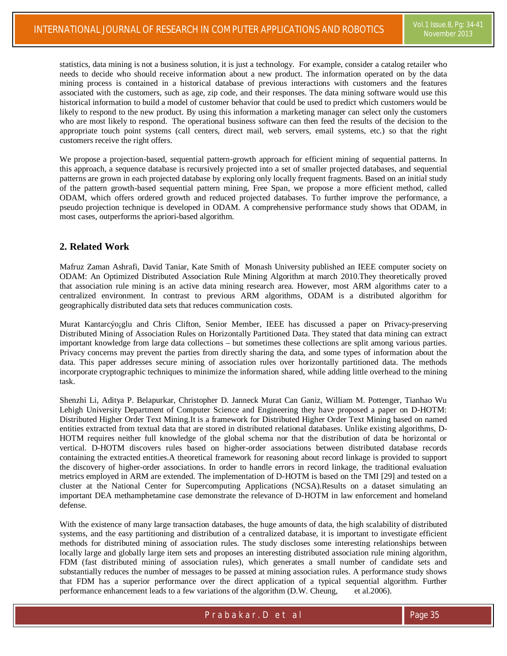statistics, data mining is not a business solution, it is just a technology. For example, consider a catalog retailer who needs to decide who should receive information about a new product. The information operated on by the data mining process is contained in a historical database of previous interactions with customers and the features associated with the customers, such as age, zip code, and their responses. The data mining software would use this historical information to build a model of customer behavior that could be used to predict which customers would be likely to respond to the new product. By using this information a marketing manager can select only the customers who are most likely to respond. The operational business software can then feed the results of the decision to the appropriate touch point systems (call centers, direct mail, web servers, email systems, etc.) so that the right customers receive the right offers.

We propose a projection-based, sequential pattern-growth approach for efficient mining of sequential patterns. In this approach, a sequence database is recursively projected into a set of smaller projected databases, and sequential patterns are grown in each projected database by exploring only locally frequent fragments. Based on an initial study of the pattern growth-based sequential pattern mining, Free Span, we propose a more efficient method, called ODAM, which offers ordered growth and reduced projected databases. To further improve the performance, a pseudo projection technique is developed in ODAM. A comprehensive performance study shows that ODAM, in most cases, outperforms the apriori-based algorithm.

# **2. Related Work**

Mafruz Zaman Ashrafi, David Taniar, Kate Smith of Monash University published an IEEE computer society on ODAM: An Optimized Distributed Association Rule Mining Algorithm at march 2010.They theoretically proved that association rule mining is an active data mining research area. However, most ARM algorithms cater to a centralized environment. In contrast to previous ARM algorithms, ODAM is a distributed algorithm for geographically distributed data sets that reduces communication costs.

Murat Kantarcýo¡glu and Chris Clifton, Senior Member, IEEE has discussed a paper on Privacy-preserving Distributed Mining of Association Rules on Horizontally Partitioned Data. They stated that data mining can extract important knowledge from large data collections – but sometimes these collections are split among various parties. Privacy concerns may prevent the parties from directly sharing the data, and some types of information about the data. This paper addresses secure mining of association rules over horizontally partitioned data. The methods incorporate cryptographic techniques to minimize the information shared, while adding little overhead to the mining task.

Shenzhi Li, Aditya P. Belapurkar, Christopher D. Janneck Murat Can Ganiz, William M. Pottenger, Tianhao Wu Lehigh University Department of Computer Science and Engineering they have proposed a paper on D-HOTM: Distributed Higher Order Text Mining.It is a framework for Distributed Higher Order Text Mining based on named entities extracted from textual data that are stored in distributed relational databases. Unlike existing algorithms, D-HOTM requires neither full knowledge of the global schema nor that the distribution of data be horizontal or vertical. D-HOTM discovers rules based on higher-order associations between distributed database records containing the extracted entities.A theoretical framework for reasoning about record linkage is provided to support the discovery of higher-order associations. In order to handle errors in record linkage, the traditional evaluation metrics employed in ARM are extended. The implementation of D-HOTM is based on the TMI [29] and tested on a cluster at the National Center for Supercomputing Applications (NCSA).Results on a dataset simulating an important DEA methamphetamine case demonstrate the relevance of D-HOTM in law enforcement and homeland defense.

With the existence of many large transaction databases, the huge amounts of data, the high scalability of distributed systems, and the easy partitioning and distribution of a centralized database, it is important to investigate efficient methods for distributed mining of association rules. The study discloses some interesting relationships between locally large and globally large item sets and proposes an interesting distributed association rule mining algorithm, FDM (fast distributed mining of association rules), which generates a small number of candidate sets and substantially reduces the number of messages to be passed at mining association rules. A performance study shows that FDM has a superior performance over the direct application of a typical sequential algorithm. Further performance enhancement leads to a few variations of the algorithm (D.W. Cheung, et al.2006).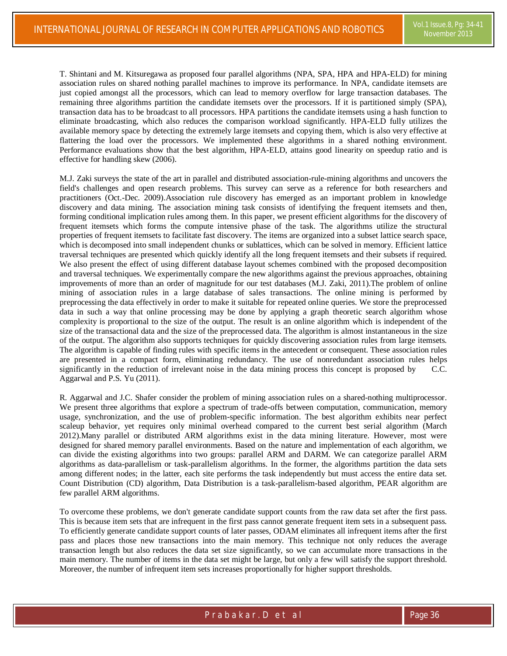T. Shintani and M. Kitsuregawa as proposed four parallel algorithms (NPA, SPA, HPA and HPA-ELD) for mining association rules on shared nothing parallel machines to improve its performance. In NPA, candidate itemsets are just copied amongst all the processors, which can lead to memory overflow for large transaction databases. The remaining three algorithms partition the candidate itemsets over the processors. If it is partitioned simply (SPA), transaction data has to be broadcast to all processors. HPA partitions the candidate itemsets using a hash function to eliminate broadcasting, which also reduces the comparison workload significantly. HPA-ELD fully utilizes the available memory space by detecting the extremely large itemsets and copying them, which is also very effective at flattering the load over the processors. We implemented these algorithms in a shared nothing environment. Performance evaluations show that the best algorithm, HPA-ELD, attains good linearity on speedup ratio and is effective for handling skew (2006).

M.J. Zaki surveys the state of the art in parallel and distributed association-rule-mining algorithms and uncovers the field's challenges and open research problems. This survey can serve as a reference for both researchers and practitioners (Oct.-Dec. 2009).Association rule discovery has emerged as an important problem in knowledge discovery and data mining. The association mining task consists of identifying the frequent itemsets and then, forming conditional implication rules among them. In this paper, we present efficient algorithms for the discovery of frequent itemsets which forms the compute intensive phase of the task. The algorithms utilize the structural properties of frequent itemsets to facilitate fast discovery. The items are organized into a subset lattice search space, which is decomposed into small independent chunks or sublattices, which can be solved in memory. Efficient lattice traversal techniques are presented which quickly identify all the long frequent itemsets and their subsets if required. We also present the effect of using different database layout schemes combined with the proposed decomposition and traversal techniques. We experimentally compare the new algorithms against the previous approaches, obtaining improvements of more than an order of magnitude for our test databases (M.J. Zaki, 2011).The problem of online mining of association rules in a large database of sales transactions. The online mining is performed by preprocessing the data effectively in order to make it suitable for repeated online queries. We store the preprocessed data in such a way that online processing may be done by applying a graph theoretic search algorithm whose complexity is proportional to the size of the output. The result is an online algorithm which is independent of the size of the transactional data and the size of the preprocessed data. The algorithm is almost instantaneous in the size of the output. The algorithm also supports techniques for quickly discovering association rules from large itemsets. The algorithm is capable of finding rules with specific items in the antecedent or consequent. These association rules are presented in a compact form, eliminating redundancy. The use of nonredundant association rules helps significantly in the reduction of irrelevant noise in the data mining process this concept is proposed by C.C. Aggarwal and P.S. Yu (2011).

R. Aggarwal and J.C. Shafer consider the problem of mining association rules on a shared-nothing multiprocessor. We present three algorithms that explore a spectrum of trade-offs between computation, communication, memory usage, synchronization, and the use of problem-specific information. The best algorithm exhibits near perfect scaleup behavior, yet requires only minimal overhead compared to the current best serial algorithm (March 2012).Many parallel or distributed ARM algorithms exist in the data mining literature. However, most were designed for shared memory parallel environments. Based on the nature and implementation of each algorithm, we can divide the existing algorithms into two groups: parallel ARM and DARM. We can categorize parallel ARM algorithms as data-parallelism or task-parallelism algorithms. In the former, the algorithms partition the data sets among different nodes; in the latter, each site performs the task independently but must access the entire data set. Count Distribution (CD) algorithm, Data Distribution is a task-parallelism-based algorithm, PEAR algorithm are few parallel ARM algorithms.

To overcome these problems, we don't generate candidate support counts from the raw data set after the first pass. This is because item sets that are infrequent in the first pass cannot generate frequent item sets in a subsequent pass. To efficiently generate candidate support counts of later passes, ODAM eliminates all infrequent items after the first pass and places those new transactions into the main memory. This technique not only reduces the average transaction length but also reduces the data set size significantly, so we can accumulate more transactions in the main memory. The number of items in the data set might be large, but only a few will satisfy the support threshold. Moreover, the number of infrequent item sets increases proportionally for higher support thresholds.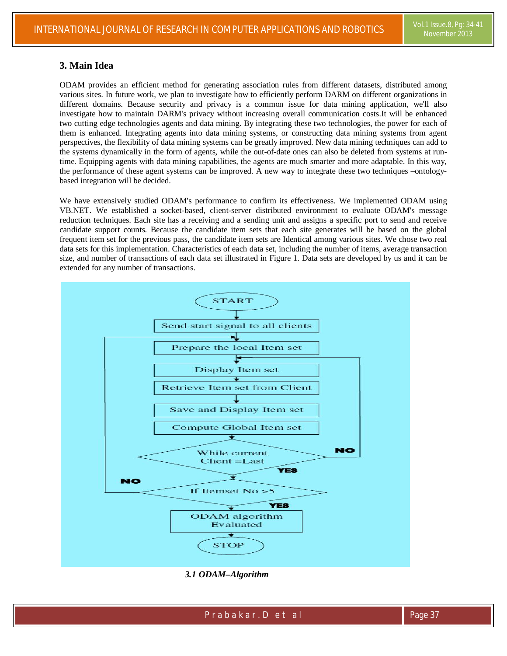## **3. Main Idea**

ODAM provides an efficient method for generating association rules from different datasets, distributed among various sites. In future work, we plan to investigate how to efficiently perform DARM on different organizations in different domains. Because security and privacy is a common issue for data mining application, we'll also investigate how to maintain DARM's privacy without increasing overall communication costs.It will be enhanced two cutting edge technologies agents and data mining. By integrating these two technologies, the power for each of them is enhanced. Integrating agents into data mining systems, or constructing data mining systems from agent perspectives, the flexibility of data mining systems can be greatly improved. New data mining techniques can add to the systems dynamically in the form of agents, while the out-of-date ones can also be deleted from systems at runtime. Equipping agents with data mining capabilities, the agents are much smarter and more adaptable. In this way, the performance of these agent systems can be improved. A new way to integrate these two techniques –ontologybased integration will be decided.

We have extensively studied ODAM's performance to confirm its effectiveness. We implemented ODAM using VB.NET. We established a socket-based, client-server distributed environment to evaluate ODAM's message reduction techniques. Each site has a receiving and a sending unit and assigns a specific port to send and receive candidate support counts. Because the candidate item sets that each site generates will be based on the global frequent item set for the previous pass, the candidate item sets are Identical among various sites. We chose two real data sets for this implementation. Characteristics of each data set, including the number of items, average transaction size, and number of transactions of each data set illustrated in Figure 1. Data sets are developed by us and it can be extended for any number of transactions.



 *3.1 ODAM–Algorithm*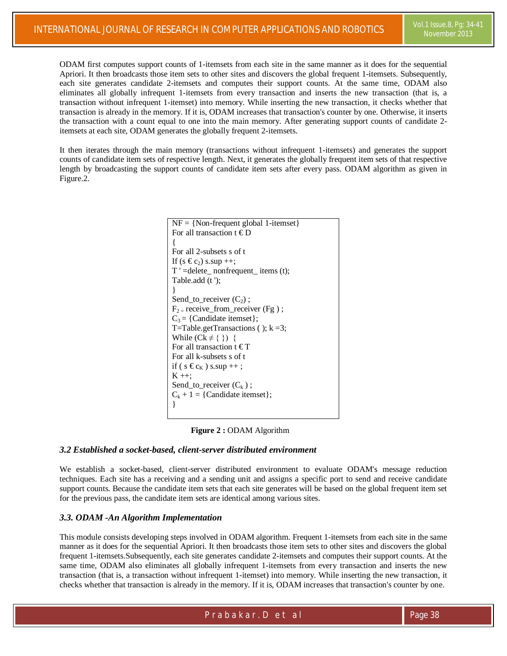ODAM first computes support counts of 1-itemsets from each site in the same manner as it does for the sequential Apriori. It then broadcasts those item sets to other sites and discovers the global frequent 1-itemsets. Subsequently, each site generates candidate 2-itemsets and computes their support counts. At the same time, ODAM also eliminates all globally infrequent 1-itemsets from every transaction and inserts the new transaction (that is, a transaction without infrequent 1-itemset) into memory. While inserting the new transaction, it checks whether that transaction is already in the memory. If it is, ODAM increases that transaction's counter by one. Otherwise, it inserts the transaction with a count equal to one into the main memory. After generating support counts of candidate 2 itemsets at each site, ODAM generates the globally frequent 2-itemsets.

It then iterates through the main memory (transactions without infrequent 1-itemsets) and generates the support counts of candidate item sets of respective length. Next, it generates the globally frequent item sets of that respective length by broadcasting the support counts of candidate item sets after every pass. ODAM algorithm as given in Figure.2.

> $NF = \{Non-frequency global 1-itemset\}$ For all transaction  $t \in D$ { For all 2-subsets s of t If  $(s \in c_2)$  s.sup  $++$ ;  $T'$  =delete nonfrequent items (t); Table.add (t '); } Send to receiver  $(C_2)$  ;  $F_2$  = receive\_from\_receiver (Fg );  $C_3$  = {Candidate itemset}; T=Table.getTransactions ( $\;$ );  $k = 3$ ; While  $(Ck \neq \{\})\$ For all transaction  $t \in T$ For all k-subsets s of t if ( s  $\epsilon c_K$  ) s.sup ++;  $K + +$ : Send\_to\_receiver  $(C_k)$ ;  $C_k + 1 = \{$ Candidate itemset $\};$ }

**Figure 2 : ODAM** Algorithm

#### *3.2 Established a socket-based, client-server distributed environment*

We establish a socket-based, client-server distributed environment to evaluate ODAM's message reduction techniques. Each site has a receiving and a sending unit and assigns a specific port to send and receive candidate support counts. Because the candidate item sets that each site generates will be based on the global frequent item set for the previous pass, the candidate item sets are identical among various sites.

## *3.3. ODAM -An Algorithm Implementation*

This module consists developing steps involved in ODAM algorithm. Frequent 1-itemsets from each site in the same manner as it does for the sequential Apriori. It then broadcasts those item sets to other sites and discovers the global frequent 1-itemsets.Subsequently, each site generates candidate 2-itemsets and computes their support counts. At the same time, ODAM also eliminates all globally infrequent 1-itemsets from every transaction and inserts the new transaction (that is, a transaction without infrequent 1-itemset) into memory. While inserting the new transaction, it checks whether that transaction is already in the memory. If it is, ODAM increases that transaction's counter by one.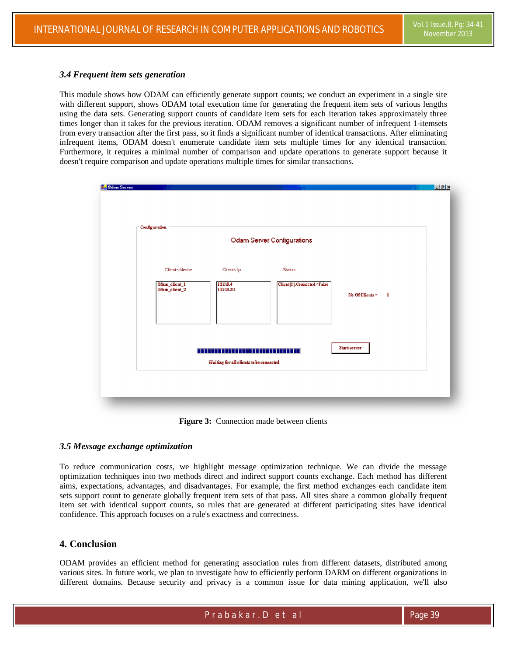#### *3.4 Frequent item sets generation*

This module shows how ODAM can efficiently generate support counts; we conduct an experiment in a single site with different support, shows ODAM total execution time for generating the frequent item sets of various lengths using the data sets. Generating support counts of candidate item sets for each iteration takes approximately three times longer than it takes for the previous iteration. ODAM removes a significant number of infrequent 1-itemsets from every transaction after the first pass, so it finds a significant number of identical transactions. After eliminating infrequent items, ODAM doesn't enumerate candidate item sets multiple times for any identical transaction. Furthermore, it requires a minimal number of comparison and update operations to generate support because it doesn't require comparison and update operations multiple times for similar transactions.

| -Configuration                 |                                                                            | Odam Server Configurations |                   |
|--------------------------------|----------------------------------------------------------------------------|----------------------------|-------------------|
|                                |                                                                            |                            |                   |
| <b>Clients Name</b>            | Cients lp                                                                  | Status:                    |                   |
| Odam_client_1<br>Odam_client_2 | 10.0.0.4<br>10.0.0.30                                                      | Client[1].Connected=False  | No Of Clients = 1 |
|                                |                                                                            |                            |                   |
|                                |                                                                            |                            |                   |
|                                |                                                                            |                            | Start server      |
|                                | ,,,,,,,,,,,,,,,,,,,,,,,,,,,,,,,<br>Waiting for all clients to be connected |                            |                   |

**Figure 3:** Connection made between clients

#### *3.5 Message exchange optimization*

To reduce communication costs, we highlight message optimization technique. We can divide the message optimization techniques into two methods direct and indirect support counts exchange. Each method has different aims, expectations, advantages, and disadvantages. For example, the first method exchanges each candidate item sets support count to generate globally frequent item sets of that pass. All sites share a common globally frequent item set with identical support counts, so rules that are generated at different participating sites have identical confidence. This approach focuses on a rule's exactness and correctness.

# **4. Conclusion**

ODAM provides an efficient method for generating association rules from different datasets, distributed among various sites. In future work, we plan to investigate how to efficiently perform DARM on different organizations in different domains. Because security and privacy is a common issue for data mining application, we'll also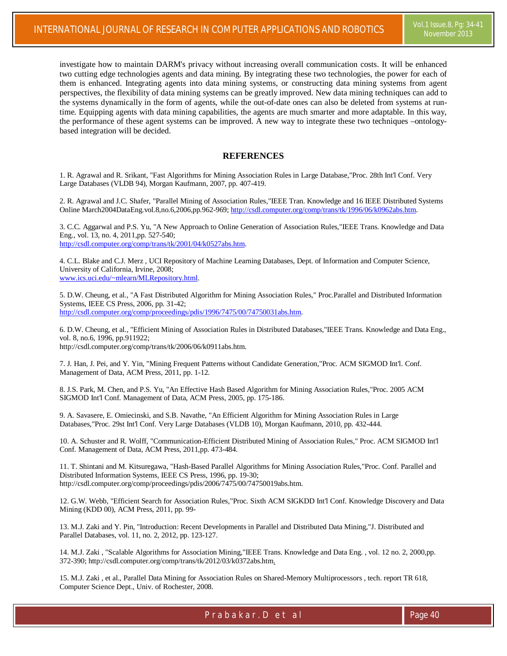investigate how to maintain DARM's privacy without increasing overall communication costs. It will be enhanced two cutting edge technologies agents and data mining. By integrating these two technologies, the power for each of them is enhanced. Integrating agents into data mining systems, or constructing data mining systems from agent perspectives, the flexibility of data mining systems can be greatly improved. New data mining techniques can add to the systems dynamically in the form of agents, while the out-of-date ones can also be deleted from systems at runtime. Equipping agents with data mining capabilities, the agents are much smarter and more adaptable. In this way, the performance of these agent systems can be improved. A new way to integrate these two techniques –ontologybased integration will be decided.

#### **REFERENCES**

1. R. Agrawal and R. Srikant, "Fast Algorithms for Mining Association Rules in Large Database,"Proc. 28th Int'l Conf. Very Large Databases (VLDB 94), Morgan Kaufmann, 2007, pp. 407-419.

2. R. Agrawal and J.C. Shafer, "Parallel Mining of Association Rules,"IEEE Tran. Knowledge and 16 IEEE Distributed Systems Online March2004DataEng.vol.8,no.6,2006,pp.962-969; http://csdl.computer.org/comp/trans/tk/1996/06/k0962abs.htm.

3. C.C. Aggarwal and P.S. Yu, "A New Approach to Online Generation of Association Rules,"IEEE Trans. Knowledge and Data Eng., vol. 13, no. 4, 2011,pp. 527-540; http://csdl.computer.org/comp/trans/tk/2001/04/k0527abs.htm.

4. C.L. Blake and C.J. Merz , UCI Repository of Machine Learning Databases, Dept. of Information and Computer Science, University of California, Irvine, 2008; www.ics.uci.edu/~mlearn/MLRepository.html.

5. D.W. Cheung, et al., "A Fast Distributed Algorithm for Mining Association Rules," Proc.Parallel and Distributed Information Systems, IEEE CS Press, 2006, pp. 31-42; http://csdl.computer.org/comp/proceedings/pdis/1996/7475/00/74750031abs.htm.

6. D.W. Cheung, et al., "Efficient Mining of Association Rules in Distributed Databases,"IEEE Trans. Knowledge and Data Eng., vol. 8, no.6, 1996, pp.911922; http://csdl.computer.org/comp/trans/tk/2006/06/k0911abs.htm.

7. J. Han, J. Pei, and Y. Yin, "Mining Frequent Patterns without Candidate Generation,"Proc. ACM SIGMOD Int'l. Conf. Management of Data, ACM Press, 2011, pp. 1-12.

8. J.S. Park, M. Chen, and P.S. Yu, "An Effective Hash Based Algorithm for Mining Association Rules,"Proc. 2005 ACM SIGMOD Int'l Conf. Management of Data, ACM Press, 2005, pp. 175-186.

9. A. Savasere, E. Omiecinski, and S.B. Navathe, "An Efficient Algorithm for Mining Association Rules in Large Databases,"Proc. 29st Int'l Conf. Very Large Databases (VLDB 10), Morgan Kaufmann, 2010, pp. 432-444.

10. A. Schuster and R. Wolff, "Communication-Efficient Distributed Mining of Association Rules," Proc. ACM SIGMOD Int'l Conf. Management of Data, ACM Press, 2011,pp. 473-484.

11. T. Shintani and M. Kitsuregawa, "Hash-Based Parallel Algorithms for Mining Association Rules,"Proc. Conf. Parallel and Distributed Information Systems, IEEE CS Press, 1996, pp. 19-30; http://csdl.computer.org/comp/proceedings/pdis/2006/7475/00/74750019abs.htm.

12. G.W. Webb, "Efficient Search for Association Rules,"Proc. Sixth ACM SIGKDD Int'l Conf. Knowledge Discovery and Data Mining (KDD 00), ACM Press, 2011, pp. 99-

13. M.J. Zaki and Y. Pin, "Introduction: Recent Developments in Parallel and Distributed Data Mining,"J. Distributed and Parallel Databases, vol. 11, no. 2, 2012, pp. 123-127.

14. M.J. Zaki , "Scalable Algorithms for Association Mining,"IEEE Trans. Knowledge and Data Eng. , vol. 12 no. 2, 2000,pp. 372-390; http://csdl.computer.org/comp/trans/tk/2012/03/k0372abs.htm.

15. M.J. Zaki , et al., Parallel Data Mining for Association Rules on Shared-Memory Multiprocessors , tech. report TR 618, Computer Science Dept., Univ. of Rochester, 2008.